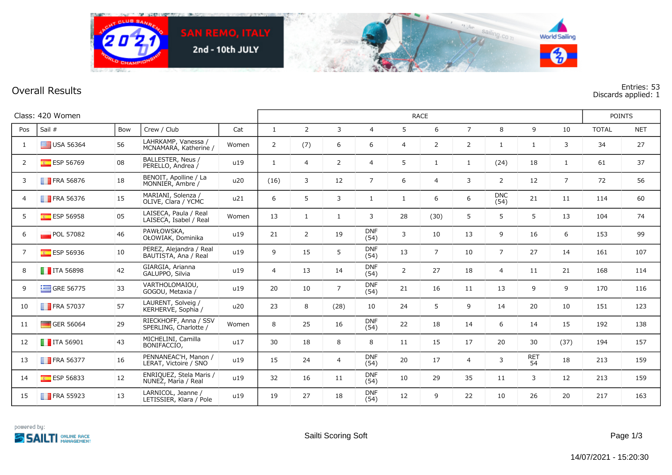

**Overall Results Entries: 53 Discards applied: 1**

| Class: 420 Women |                          |     |                                                 |       |                | <b>RACE</b>    |                |                    |                |                |                |                    |                  |                |              |            |
|------------------|--------------------------|-----|-------------------------------------------------|-------|----------------|----------------|----------------|--------------------|----------------|----------------|----------------|--------------------|------------------|----------------|--------------|------------|
| Pos              | Sail #                   | Bow | Crew / Club                                     | Cat   | $\mathbf{1}$   | $\overline{2}$ | $\mathbf{3}$   | $\overline{4}$     | 5              | 6              | $\overline{7}$ | 8                  | 9                | 10             | <b>TOTAL</b> | <b>NET</b> |
| 1                | $\equiv$ USA 56364       | 56  | LAHRKAMP, Vanessa /<br>MCNAMARA, Katherine /    | Women | 2              | (7)            | 6              | 6                  | $\overline{4}$ | $\overline{2}$ | 2              | $\mathbf{1}$       | $\mathbf{1}$     | 3              | 34           | 27         |
| $\overline{2}$   | $E$ ESP 56769            | 08  | BALLESTER, Neus /<br>PERELLO, Andrea /          | u19   | $\mathbf{1}$   | $\overline{4}$ | $\overline{2}$ | $\overline{4}$     | 5              | $\mathbf{1}$   | $\mathbf{1}$   | (24)               | 18               | $\mathbf{1}$   | 61           | 37         |
| 3                | <b>FRA 56876</b>         | 18  | BENOIT, Apolline / La<br>MONNIER, Ambre /       | u20   | (16)           | 3              | 12             | $\overline{7}$     | 6              | $\overline{4}$ | 3              | $\overline{2}$     | 12               | $\overline{7}$ | 72           | 56         |
| $\overline{4}$   | $\blacksquare$ FRA 56376 | 15  | MARIANI, Solenza /<br>OLIVE, Clara / YCMC       | u21   | 6              | 5              | 3              | $\mathbf{1}$       | $\mathbf{1}$   | 6              | 6              | <b>DNC</b><br>(54) | 21               | 11             | 114          | 60         |
| 5                | ESP 56958                | 05  | LAISECA, Paula / Real<br>LAISECA, Isabel / Real | Women | 13             | $\mathbf{1}$   | $\mathbf{1}$   | 3                  | 28             | (30)           | 5              | 5                  | 5                | 13             | 104          | 74         |
| 6                | POL 57082                | 46  | PAWŁOWSKA,<br>OŁOWIAK, Dominika                 | u19   | 21             | $\overline{2}$ | 19             | <b>DNF</b><br>(54) | 3              | 10             | 13             | 9                  | 16               | 6              | 153          | 99         |
| $\overline{7}$   | <b>ESP 56936</b>         | 10  | PEREZ, Alejandra / Real<br>BAUTISTA, Ana / Real | u19   | 9              | 15             | 5              | <b>DNF</b><br>(54) | 13             | $\overline{7}$ | 10             | $\overline{7}$     | 27               | 14             | 161          | 107        |
| 8                | $\blacksquare$ ITA 56898 | 42  | GIARGIA, Arianna<br>GALUPPO, Silvia             | u19   | $\overline{4}$ | 13             | 14             | <b>DNF</b><br>(54) | 2              | 27             | 18             | $\overline{4}$     | 11               | 21             | 168          | 114        |
| 9                | GRE 56775                | 33  | VARTHOLOMAIOU,<br>GOGOU, Metaxia /              | u19   | 20             | 10             | $\overline{7}$ | <b>DNF</b><br>(54) | 21             | 16             | 11             | 13                 | 9                | 9              | 170          | 116        |
| 10               | $\blacksquare$ FRA 57037 | 57  | LAURENT, Solveig /<br>KERHERVE, Sophia /        | u20   | 23             | 8              | (28)           | 10                 | 24             | 5              | 9              | 14                 | 20               | 10             | 151          | 123        |
| 11               | GER 56064                | 29  | RIECKHOFF, Anna / SSV<br>SPERLING, Charlotte /  | Women | 8              | 25             | 16             | <b>DNF</b><br>(54) | 22             | 18             | 14             | 6                  | 14               | 15             | 192          | 138        |
| 12               | $\blacksquare$ ITA 56901 | 43  | MICHELINI, Camilla<br>BONIFACCIO,               | u17   | 30             | 18             | 8              | 8                  | 11             | 15             | 17             | 20                 | 30               | (37)           | 194          | 157        |
| 13               | $\blacksquare$ FRA 56377 | 16  | PENNANEAC'H, Manon /<br>LERAT, Victoire / SNO   | u19   | 15             | 24             | $\overline{4}$ | <b>DNF</b><br>(54) | 20             | 17             | $\overline{4}$ | 3                  | <b>RET</b><br>54 | 18             | 213          | 159        |
| 14               | ESP 56833                | 12  | ENRIQUEZ, Stela Maris /<br>NUÑEZ, Maria / Real  | u19   | 32             | 16             | 11             | <b>DNF</b><br>(54) | 10             | 29             | 35             | 11                 | 3                | 12             | 213          | 159        |
| 15               | $\blacksquare$ FRA 55923 | 13  | LARNICOL, Jeanne /<br>LETISSIER, Klara / Pole   | u19   | 19             | 27             | 18             | <b>DNF</b><br>(54) | 12             | 9              | 22             | 10                 | 26               | 20             | 217          | 163        |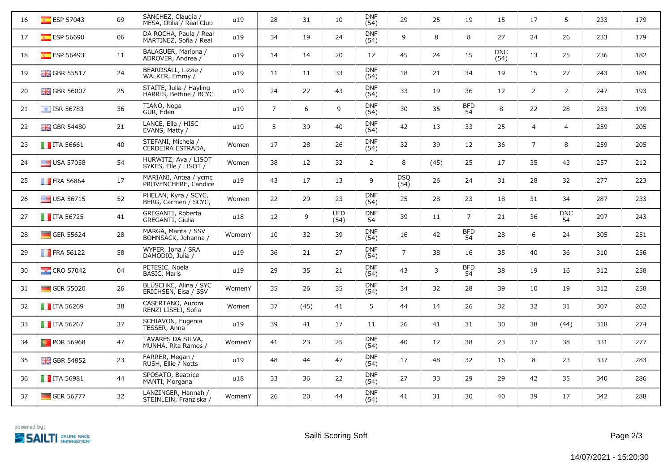| 16 | ESP 57043                 | 09 | SANCHEZ, Claudia /<br>MESA, Otilia / Real Club    | u19    | 28             | 31   | 10                 | <b>DNF</b><br>(54) | 29             | 25   | 19               | 15                 | 17             | 5                | 233 | 179 |
|----|---------------------------|----|---------------------------------------------------|--------|----------------|------|--------------------|--------------------|----------------|------|------------------|--------------------|----------------|------------------|-----|-----|
| 17 | $E$ ESP 56690             | 06 | DA ROCHA, Paula / Real<br>MARTINEZ, Sofia / Real  | u19    | 34             | 19   | 24                 | <b>DNF</b><br>(54) | 9              | 8    | 8                | 27                 | 24             | 26               | 233 | 179 |
| 18 | $E$ ESP 56493             | 11 | BALAGUER, Mariona /<br>ADROVER, Andrea /          | u19    | 14             | 14   | 20                 | 12                 | 45             | 24   | 15               | <b>DNC</b><br>(54) | 13             | 25               | 236 | 182 |
| 19 | $GBR$ 55517               | 24 | BEARDSALL, Lizzie /<br>WALKER, Emmy /             | u19    | 11             | 11   | 33                 | <b>DNF</b><br>(54) | 18             | 21   | 34               | 19                 | 15             | 27               | 243 | 189 |
| 20 | $\frac{1}{200}$ GBR 56007 | 25 | STAITE, Julia / Hayling<br>HARRIS, Bettine / BCYC | u19    | 24             | 22   | 43                 | <b>DNF</b><br>(54) | 33             | 19   | 36               | 12                 | $\overline{2}$ | $\overline{2}$   | 247 | 193 |
| 21 | $\bullet$ ISR 56783       | 36 | TIANO, Noga<br>GUR, Eden                          | u19    | $\overline{7}$ | 6    | 9                  | <b>DNF</b><br>(54) | 30             | 35   | <b>BFD</b><br>54 | 8                  | 22             | 28               | 253 | 199 |
| 22 | <b>H</b> GBR 54480        | 21 | LANCE, Ella / HISC<br>EVANS, Matty /              | u19    | 5              | 39   | 40                 | <b>DNF</b><br>(54) | 42             | 13   | 33               | 25                 | $\overline{4}$ | $\overline{4}$   | 259 | 205 |
| 23 | $\blacksquare$ ITA 56661  | 40 | STEFANI, Michela /<br>CERDEIRA ESTRADA,           | Women  | 17             | 28   | 26                 | <b>DNF</b><br>(54) | 32             | 39   | 12               | 36                 | $\overline{7}$ | 8                | 259 | 205 |
| 24 | $\equiv$ USA 57058        | 54 | HURWITZ, Ava / LISOT<br>SYKES, Elle / LISOT /     | Women  | 38             | 12   | 32                 | 2                  | 8              | (45) | 25               | 17                 | 35             | 43               | 257 | 212 |
| 25 | <b>FRA 56864</b>          | 17 | MARIANI, Antea / ycmc<br>PROVENCHERE, Candice     | u19    | 43             | 17   | 13                 | 9                  | DSQ<br>(54)    | 26   | 24               | 31                 | 28             | 32               | 277 | 223 |
| 26 | $\equiv$ USA 56715        | 52 | PHELAN, Kyra / SCYC,<br>BERG, Carmen / SCYC,      | Women  | 22             | 29   | 23                 | <b>DNF</b><br>(54) | 25             | 28   | 23               | 18                 | 31             | 34               | 287 | 233 |
| 27 | $\blacksquare$ ITA 56725  | 41 | GREGANTI, Roberta<br>GREGANTI, Giulia             | u18    | 12             | 9    | <b>UFD</b><br>(54) | <b>DNF</b><br>54   | 39             | 11   | $\overline{7}$   | 21                 | 36             | <b>DNC</b><br>54 | 297 | 243 |
| 28 | $\Box$ GER 55624          | 28 | MARGA, Marita / SSV<br>BOHNSACK, Johanna /        | WomenY | 10             | 32   | 39                 | <b>DNF</b><br>(54) | 16             | 42   | <b>BFD</b><br>54 | 28                 | 6              | 24               | 305 | 251 |
| 29 | FRA 56122                 | 58 | WYPER, Iona / SRA<br>DAMODIO, Julia /             | u19    | 36             | 21   | 27                 | <b>DNF</b><br>(54) | $\overline{7}$ | 38   | 16               | 35                 | 40             | 36               | 310 | 256 |
| 30 | $\frac{1}{2}$ CRO 57042   | 04 | PETESIC, Noela<br><b>BASIC, Maris</b>             | u19    | 29             | 35   | 21                 | <b>DNF</b><br>(54) | 43             | 3    | <b>BFD</b><br>54 | 38                 | 19             | 16               | 312 | 258 |
| 31 | <b>GER 55020</b>          | 26 | BLÜSCHKE, Alina / SYC<br>ERICHSEN, Elsa / SSV     | WomenY | 35             | 26   | 35                 | <b>DNF</b><br>(54) | 34             | 32   | 28               | 39                 | 10             | 19               | 312 | 258 |
| 32 | $\blacksquare$ ITA 56269  | 38 | CASERTANO, Aurora<br>RENZI LISELI, Sofia          | Women  | 37             | (45) | 41                 | 5                  | 44             | 14   | 26               | 32                 | 32             | 31               | 307 | 262 |
| 33 | $\blacksquare$ ITA 56267  | 37 | SCHIAVON, Eugenia<br>TESSER, Anna                 | u19    | 39             | 41   | 17                 | 11                 | 26             | 41   | 31               | 30                 | 38             | (44)             | 318 | 274 |
| 34 | <b>D</b> POR 56968        | 47 | TAVARES DA SILVA,<br>MUNHA, Rita Ramos /          | WomenY | 41             | 23   | 25                 | <b>DNF</b><br>(54) | 40             | 12   | 38               | 23                 | 37             | 38               | 331 | 277 |
| 35 | $\frac{1}{20}$ GBR 54852  | 23 | FARRER, Megan /<br>RUSH, Ellie / Notts            | u19    | 48             | 44   | 47                 | <b>DNF</b><br>(54) | 17             | 48   | 32               | 16                 | $\,8\,$        | 23               | 337 | 283 |
| 36 | $\blacksquare$ ITA 56981  | 44 | SPOSATO, Beatrice<br>MANTI, Morgana               | u18    | 33             | 36   | 22                 | <b>DNF</b><br>(54) | 27             | 33   | 29               | 29                 | 42             | 35               | 340 | 286 |
| 37 | $\blacksquare$ GER 56777  | 32 | LANZINGER, Hannah /<br>STEINLEIN, Franziska /     | WomenY | 26             | 20   | 44                 | <b>DNF</b><br>(54) | 41             | 31   | 30               | 40                 | 39             | 17               | 342 | 288 |